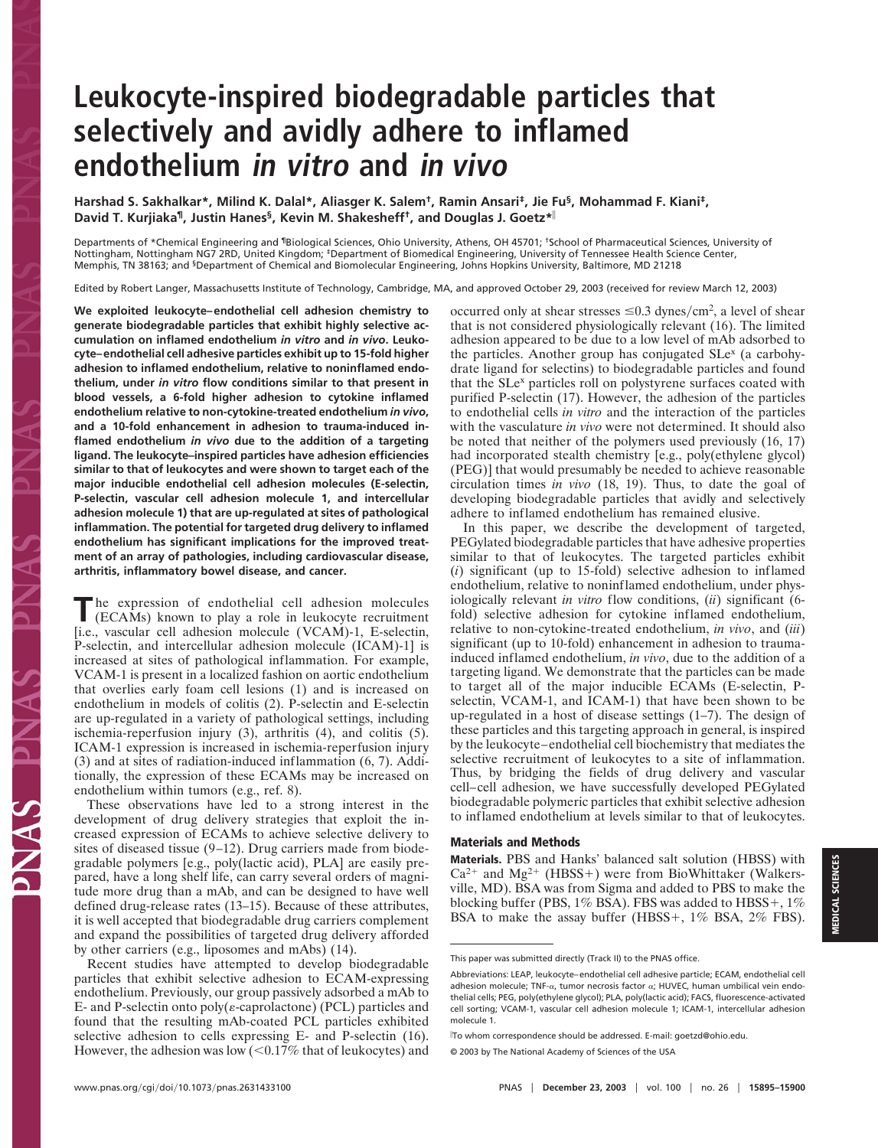## **Leukocyte-inspired biodegradable particles that selectively and avidly adhere to inflamed endothelium in vitro and in vivo**

**Harshad S. Sakhalkar\*, Milind K. Dalal\*, Aliasger K. Salem†, Ramin Ansari‡, Jie Fu§, Mohammad F. Kiani‡, David T. Kurjiaka¶, Justin Hanes§, Kevin M. Shakesheff†, and Douglas J. Goetz\***

Departments of \*Chemical Engineering and ¶Biological Sciences, Ohio University, Athens, OH 45701; †School of Pharmaceutical Sciences, University of Nottingham, Nottingham NG7 2RD, United Kingdom; ‡Department of Biomedical Engineering, University of Tennessee Health Science Center, Memphis, TN 38163; and §Department of Chemical and Biomolecular Engineering, Johns Hopkins University, Baltimore, MD 21218

Edited by Robert Langer, Massachusetts Institute of Technology, Cambridge, MA, and approved October 29, 2003 (received for review March 12, 2003)

**We exploited leukocyte–endothelial cell adhesion chemistry to generate biodegradable particles that exhibit highly selective accumulation on inflamed endothelium** *in vitro* **and** *in vivo***. Leukocyte–endothelial cell adhesive particles exhibit up to 15-fold higher adhesion to inflamed endothelium, relative to noninflamed endothelium, under** *in vitro* **flow conditions similar to that present in blood vessels, a 6-fold higher adhesion to cytokine inflamed endothelium relative to non-cytokine-treated endothelium** *in vivo***, and a 10-fold enhancement in adhesion to trauma-induced inflamed endothelium** *in vivo* **due to the addition of a targeting ligand. The leukocyte–inspired particles have adhesion efficiencies similar to that of leukocytes and were shown to target each of the major inducible endothelial cell adhesion molecules (E-selectin, P-selectin, vascular cell adhesion molecule 1, and intercellular adhesion molecule 1) that are up-regulated at sites of pathological inflammation. The potential for targeted drug delivery to inflamed endothelium has significant implications for the improved treatment of an array of pathologies, including cardiovascular disease, arthritis, inflammatory bowel disease, and cancer.**

The expression of endothelial cell adhesion molecules<br>
(ECAMs) known to play a role in leukocyte recruitment [i.e., vascular cell adhesion molecule (VCAM)-1, E-selectin, P-selectin, and intercellular adhesion molecule (ICAM)-1] is increased at sites of pathological inflammation. For example, VCAM-1 is present in a localized fashion on aortic endothelium that overlies early foam cell lesions (1) and is increased on endothelium in models of colitis (2). P-selectin and E-selectin are up-regulated in a variety of pathological settings, including ischemia-reperfusion injury (3), arthritis (4), and colitis (5). ICAM-1 expression is increased in ischemia-reperfusion injury (3) and at sites of radiation-induced inflammation (6, 7). Additionally, the expression of these ECAMs may be increased on endothelium within tumors (e.g., ref. 8).

These observations have led to a strong interest in the development of drug delivery strategies that exploit the increased expression of ECAMs to achieve selective delivery to sites of diseased tissue (9–12). Drug carriers made from biodegradable polymers [e.g., poly(lactic acid), PLA] are easily prepared, have a long shelf life, can carry several orders of magnitude more drug than a mAb, and can be designed to have well defined drug-release rates (13–15). Because of these attributes, it is well accepted that biodegradable drug carriers complement and expand the possibilities of targeted drug delivery afforded by other carriers (e.g., liposomes and mAbs) (14).

Recent studies have attempted to develop biodegradable particles that exhibit selective adhesion to ECAM-expressing endothelium. Previously, our group passively adsorbed a mAb to E- and P-selectin onto  $poly(\varepsilon$ -caprolactone) (PCL) particles and found that the resulting mAb-coated PCL particles exhibited selective adhesion to cells expressing E- and P-selectin (16). However, the adhesion was low  $\left($  < 0.17% that of leukocytes) and

occurred only at shear stresses  $\leq 0.3$  dynes/cm<sup>2</sup>, a level of shear that is not considered physiologically relevant (16). The limited adhesion appeared to be due to a low level of mAb adsorbed to the particles. Another group has conjugated SLe<sup>x</sup> (a carbohydrate ligand for selectins) to biodegradable particles and found that the SLe<sup>x</sup> particles roll on polystyrene surfaces coated with purified P-selectin (17). However, the adhesion of the particles to endothelial cells *in vitro* and the interaction of the particles with the vasculature *in vivo* were not determined. It should also be noted that neither of the polymers used previously (16, 17) had incorporated stealth chemistry [e.g., poly(ethylene glycol) (PEG)] that would presumably be needed to achieve reasonable circulation times *in vivo* (18, 19). Thus, to date the goal of developing biodegradable particles that avidly and selectively adhere to inflamed endothelium has remained elusive.

In this paper, we describe the development of targeted, PEGylated biodegradable particles that have adhesive properties similar to that of leukocytes. The targeted particles exhibit (*i*) significant (up to 15-fold) selective adhesion to inflamed endothelium, relative to noninflamed endothelium, under physiologically relevant *in vitro* flow conditions, (*ii*) significant (6 fold) selective adhesion for cytokine inflamed endothelium, relative to non-cytokine-treated endothelium, *in vivo*, and (*iii*) significant (up to 10-fold) enhancement in adhesion to traumainduced inflamed endothelium, *in vivo*, due to the addition of a targeting ligand. We demonstrate that the particles can be made to target all of the major inducible ECAMs (E-selectin, Pselectin, VCAM-1, and ICAM-1) that have been shown to be up-regulated in a host of disease settings (1–7). The design of these particles and this targeting approach in general, is inspired by the leukocyte–endothelial cell biochemistry that mediates the selective recruitment of leukocytes to a site of inflammation. Thus, by bridging the fields of drug delivery and vascular cell–cell adhesion, we have successfully developed PEGylated biodegradable polymeric particles that exhibit selective adhesion to inflamed endothelium at levels similar to that of leukocytes.

## **Materials and Methods**

**Materials.** PBS and Hanks' balanced salt solution (HBSS) with  $Ca^{2+}$  and Mg<sup>2+</sup> (HBSS+) were from BioWhittaker (Walkersville, MD). BSA was from Sigma and added to PBS to make the blocking buffer (PBS, 1% BSA). FBS was added to HBSS+, 1% BSA to make the assay buffer (HBSS+, 1% BSA, 2% FBS).

This paper was submitted directly (Track II) to the PNAS office.

Abbreviations: LEAP, leukocyte–endothelial cell adhesive particle; ECAM, endothelial cell adhesion molecule; TNF- $\alpha$ , tumor necrosis factor  $\alpha$ ; HUVEC, human umbilical vein endothelial cells; PEG, poly(ethylene glycol); PLA, poly(lactic acid); FACS, fluorescence-activated cell sorting; VCAM-1, vascular cell adhesion molecule 1; ICAM-1, intercellular adhesion molecule 1.

To whom correspondence should be addressed. E-mail: goetzd@ohio.edu.

<sup>© 2003</sup> by The National Academy of Sciences of the USA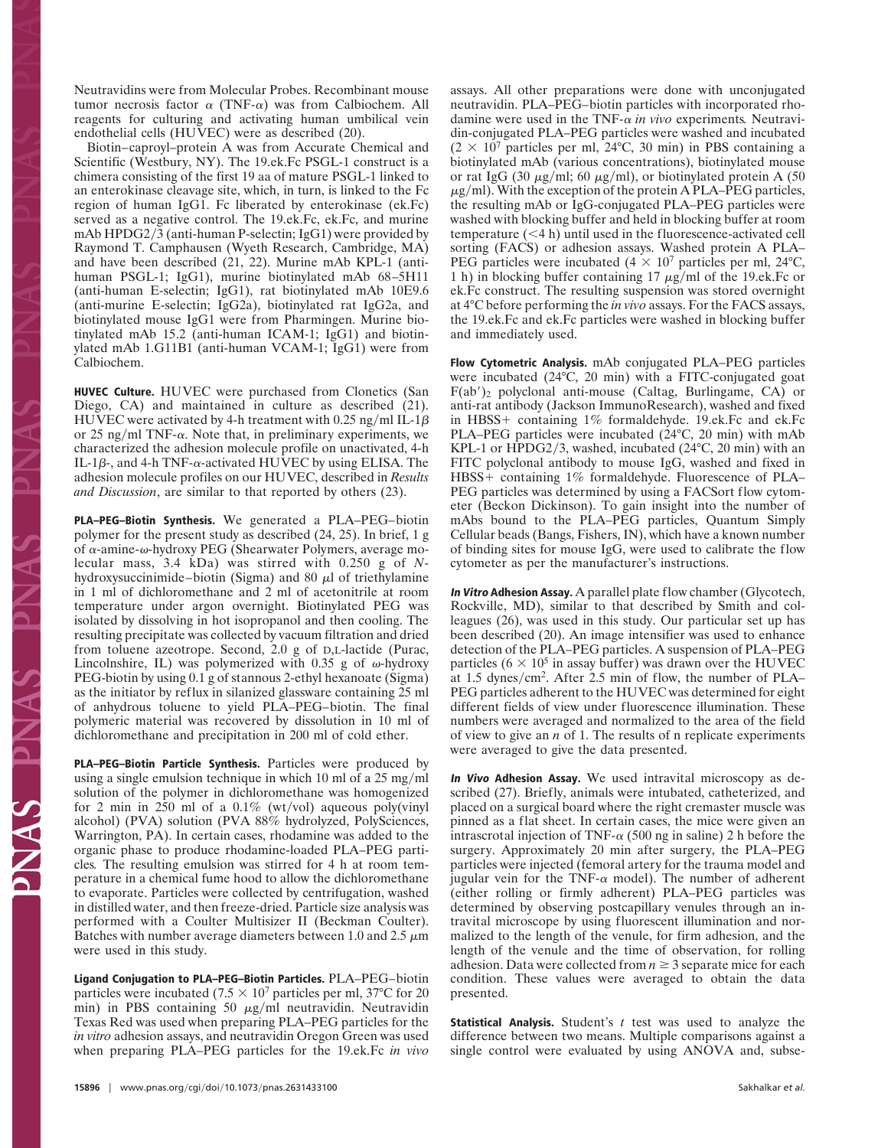Neutravidins were from Molecular Probes. Recombinant mouse tumor necrosis factor  $\alpha$  (TNF- $\alpha$ ) was from Calbiochem. All reagents for culturing and activating human umbilical vein endothelial cells (HUVEC) were as described (20).

Biotin–caproyl–protein A was from Accurate Chemical and Scientific (Westbury, NY). The 19.ek.Fc PSGL-1 construct is a chimera consisting of the first 19 aa of mature PSGL-1 linked to an enterokinase cleavage site, which, in turn, is linked to the Fc region of human IgG1. Fc liberated by enterokinase (ek.Fc) served as a negative control. The 19.ek.Fc, ek.Fc, and murine mAb HPDG2/3 (anti-human P-selectin; IgG1) were provided by Raymond T. Camphausen (Wyeth Research, Cambridge, MA) and have been described (21, 22). Murine mAb KPL-1 (antihuman PSGL-1; IgG1), murine biotinylated mAb 68–5H11 (anti-human E-selectin; IgG1), rat biotinylated mAb 10E9.6 (anti-murine E-selectin; IgG2a), biotinylated rat IgG2a, and biotinylated mouse IgG1 were from Pharmingen. Murine biotinylated mAb 15.2 (anti-human ICAM-1; IgG1) and biotinylated mAb 1.G11B1 (anti-human VCAM-1; IgG1) were from Calbiochem.

**HUVEC Culture.** HUVEC were purchased from Clonetics (San Diego, CA) and maintained in culture as described (21). HUVEC were activated by 4-h treatment with 0.25 ng/ml IL-1 $\beta$ or 25 ng/ml TNF- $\alpha$ . Note that, in preliminary experiments, we characterized the adhesion molecule profile on unactivated, 4-h IL-1 $\beta$ -, and 4-h TNF- $\alpha$ -activated HUVEC by using ELISA. The adhesion molecule profiles on our HUVEC, described in *Results and Discussion*, are similar to that reported by others (23).

**PLA–PEG–Biotin Synthesis.** We generated a PLA–PEG–biotin polymer for the present study as described (24, 25). In brief, 1 g of  $\alpha$ -amine- $\omega$ -hydroxy PEG (Shearwater Polymers, average molecular mass, 3.4 kDa) was stirred with 0.250 g of *N*hydroxysuccinimide–biotin (Sigma) and 80  $\mu$ l of triethylamine in 1 ml of dichloromethane and 2 ml of acetonitrile at room temperature under argon overnight. Biotinylated PEG was isolated by dissolving in hot isopropanol and then cooling. The resulting precipitate was collected by vacuum filtration and dried from toluene azeotrope. Second, 2.0 g of D,L-lactide (Purac, Lincolnshire, IL) was polymerized with 0.35 g of  $\omega$ -hydroxy PEG-biotin by using 0.1 g of stannous 2-ethyl hexanoate (Sigma) as the initiator by reflux in silanized glassware containing 25 ml of anhydrous toluene to yield PLA–PEG–biotin. The final polymeric material was recovered by dissolution in 10 ml of dichloromethane and precipitation in 200 ml of cold ether.

**PLA–PEG–Biotin Particle Synthesis.** Particles were produced by using a single emulsion technique in which 10 ml of a 25 mg/ml solution of the polymer in dichloromethane was homogenized for 2 min in 250 ml of a  $0.1\%$  (wt/vol) aqueous poly(vinyl alcohol) (PVA) solution (PVA 88% hydrolyzed, PolySciences, Warrington, PA). In certain cases, rhodamine was added to the organic phase to produce rhodamine-loaded PLA–PEG particles*.* The resulting emulsion was stirred for 4 h at room temperature in a chemical fume hood to allow the dichloromethane to evaporate. Particles were collected by centrifugation, washed in distilled water, and then freeze-dried. Particle size analysis was performed with a Coulter Multisizer II (Beckman Coulter). Batches with number average diameters between 1.0 and 2.5  $\mu$ m were used in this study.

**Ligand Conjugation to PLA–PEG–Biotin Particles.** PLA–PEG–biotin particles were incubated (7.5  $\times$  10<sup>7</sup> particles per ml, 37°C for 20 min) in PBS containing 50  $\mu$ g/ml neutravidin. Neutravidin Texas Red was used when preparing PLA–PEG particles for the *in vitro* adhesion assays, and neutravidin Oregon Green was used when preparing PLA–PEG particles for the 19.ek.Fc *in vivo* assays. All other preparations were done with unconjugated neutravidin. PLA–PEG–biotin particles with incorporated rhodamine were used in the TNF- $\alpha$  in vivo experiments. Neutravidin-conjugated PLA–PEG particles were washed and incubated  $(2 \times 10^7$  particles per ml, 24°C, 30 min) in PBS containing a biotinylated mAb (various concentrations), biotinylated mouse or rat IgG (30  $\mu$ g/ml; 60  $\mu$ g/ml), or biotinylated protein A (50  $\mu$ g/ml). With the exception of the protein A PLA–PEG particles, the resulting mAb or IgG-conjugated PLA–PEG particles were washed with blocking buffer and held in blocking buffer at room temperature  $(< 4 h)$  until used in the fluorescence-activated cell sorting (FACS) or adhesion assays. Washed protein A PLA– PEG particles were incubated  $(4 \times 10^7$  particles per ml, 24°C, 1 h) in blocking buffer containing 17  $\mu$ g/ml of the 19.ek.Fc or ek.Fc construct. The resulting suspension was stored overnight at 4°C before performing the *in vivo* assays. For the FACS assays, the 19.ek.Fc and ek.Fc particles were washed in blocking buffer and immediately used.

**Flow Cytometric Analysis.** mAb conjugated PLA–PEG particles were incubated (24°C, 20 min) with a FITC-conjugated goat  $F(ab')_2$  polyclonal anti-mouse (Caltag, Burlingame, CA) or anti-rat antibody (Jackson ImmunoResearch), washed and fixed in HBSS- containing 1% formaldehyde. 19.ek.Fc and ek.Fc PLA–PEG particles were incubated (24°C, 20 min) with mAb KPL-1 or HPDG2/3, washed, incubated  $(24^{\circ}C, 20 \text{ min})$  with an FITC polyclonal antibody to mouse IgG, washed and fixed in HBSS- containing 1% formaldehyde. Fluorescence of PLA– PEG particles was determined by using a FACSort flow cytometer (Beckon Dickinson). To gain insight into the number of mAbs bound to the PLA–PEG particles, Quantum Simply Cellular beads (Bangs, Fishers, IN), which have a known number of binding sites for mouse IgG, were used to calibrate the flow cytometer as per the manufacturer's instructions.

**In Vitro Adhesion Assay.** A parallel plate flow chamber (Glycotech, Rockville, MD), similar to that described by Smith and colleagues (26), was used in this study. Our particular set up has been described (20). An image intensifier was used to enhance detection of the PLA–PEG particles. A suspension of PLA–PEG particles ( $6 \times 10^5$  in assay buffer) was drawn over the HUVEC at 1.5 dynes/cm<sup>2</sup>. After 2.5 min of flow, the number of PLA– PEG particles adherent to the HUVEC was determined for eight different fields of view under fluorescence illumination. These numbers were averaged and normalized to the area of the field of view to give an *n* of 1. The results of n replicate experiments were averaged to give the data presented.

**In Vivo Adhesion Assay.** We used intravital microscopy as described (27). Briefly, animals were intubated, catheterized, and placed on a surgical board where the right cremaster muscle was pinned as a flat sheet. In certain cases, the mice were given an intrascrotal injection of TNF- $\alpha$  (500 ng in saline) 2 h before the surgery. Approximately 20 min after surgery, the PLA–PEG particles were injected (femoral artery for the trauma model and jugular vein for the TNF- $\alpha$  model). The number of adherent (either rolling or firmly adherent) PLA–PEG particles was determined by observing postcapillary venules through an intravital microscope by using fluorescent illumination and normalized to the length of the venule, for firm adhesion, and the length of the venule and the time of observation, for rolling adhesion. Data were collected from  $n \geq 3$  separate mice for each condition. These values were averaged to obtain the data presented.

**Statistical Analysis.** Student's *t* test was used to analyze the difference between two means. Multiple comparisons against a single control were evaluated by using ANOVA and, subse-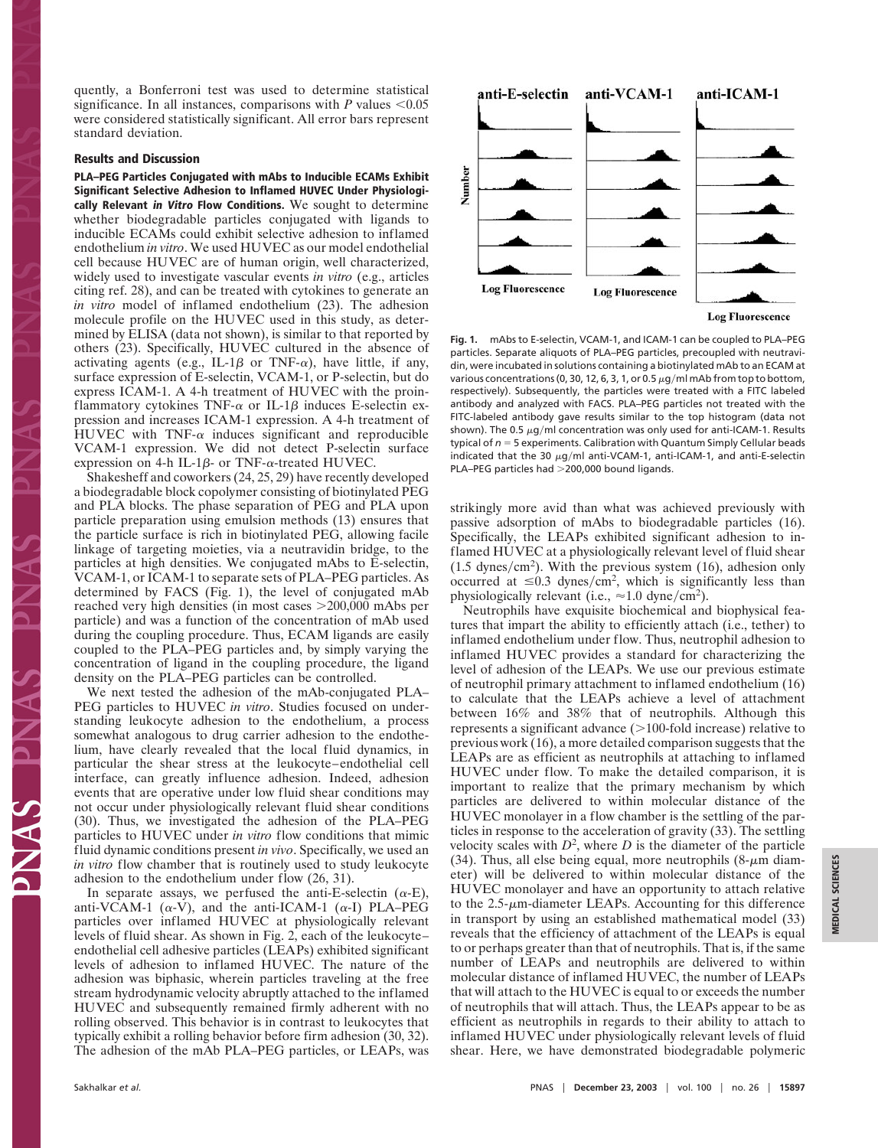quently, a Bonferroni test was used to determine statistical significance. In all instances, comparisons with  $P$  values  $\leq 0.05$ were considered statistically significant. All error bars represent standard deviation.

## **Results and Discussion**

**PLA–PEG Particles Conjugated with mAbs to Inducible ECAMs Exhibit Significant Selective Adhesion to Inflamed HUVEC Under Physiologically Relevant in Vitro Flow Conditions.** We sought to determine whether biodegradable particles conjugated with ligands to inducible ECAMs could exhibit selective adhesion to inflamed endothelium *in vitro*. We used HUVEC as our model endothelial cell because HUVEC are of human origin, well characterized, widely used to investigate vascular events *in vitro* (e.g., articles citing ref. 28), and can be treated with cytokines to generate an *in vitro* model of inflamed endothelium (23). The adhesion molecule profile on the HUVEC used in this study, as determined by ELISA (data not shown), is similar to that reported by others (23). Specifically, HUVEC cultured in the absence of activating agents (e.g., IL-1 $\beta$  or TNF- $\alpha$ ), have little, if any, surface expression of E-selectin, VCAM-1, or P-selectin, but do express ICAM-1. A 4-h treatment of HUVEC with the proinflammatory cytokines TNF- $\alpha$  or IL-1 $\beta$  induces E-selectin expression and increases ICAM-1 expression. A 4-h treatment of HUVEC with TNF- $\alpha$  induces significant and reproducible VCAM-1 expression. We did not detect P-selectin surface expression on 4-h IL-1 $\beta$ - or TNF- $\alpha$ -treated HUVEC.

Shakesheff and coworkers (24, 25, 29) have recently developed a biodegradable block copolymer consisting of biotinylated PEG and PLA blocks. The phase separation of PEG and PLA upon particle preparation using emulsion methods (13) ensures that the particle surface is rich in biotinylated PEG, allowing facile linkage of targeting moieties, via a neutravidin bridge, to the particles at high densities. We conjugated mAbs to E-selectin, VCAM-1, or ICAM-1 to separate sets of PLA–PEG particles. As determined by FACS (Fig. 1), the level of conjugated mAb reached very high densities (in most cases 200,000 mAbs per particle) and was a function of the concentration of mAb used during the coupling procedure. Thus, ECAM ligands are easily coupled to the PLA–PEG particles and, by simply varying the concentration of ligand in the coupling procedure, the ligand density on the PLA–PEG particles can be controlled.

We next tested the adhesion of the mAb-conjugated PLA– PEG particles to HUVEC *in vitro*. Studies focused on understanding leukocyte adhesion to the endothelium, a process somewhat analogous to drug carrier adhesion to the endothelium, have clearly revealed that the local fluid dynamics, in particular the shear stress at the leukocyte–endothelial cell interface, can greatly influence adhesion. Indeed, adhesion events that are operative under low fluid shear conditions may not occur under physiologically relevant fluid shear conditions (30). Thus, we investigated the adhesion of the PLA–PEG particles to HUVEC under *in vitro* flow conditions that mimic fluid dynamic conditions present *in vivo*. Specifically, we used an *in vitro* flow chamber that is routinely used to study leukocyte adhesion to the endothelium under flow (26, 31).

In separate assays, we perfused the anti-E-selectin  $(\alpha-E)$ , anti-VCAM-1 ( $\alpha$ -V), and the anti-ICAM-1 ( $\alpha$ -I) PLA–PEG particles over inflamed HUVEC at physiologically relevant levels of fluid shear. As shown in Fig. 2, each of the leukocyte– endothelial cell adhesive particles (LEAPs) exhibited significant levels of adhesion to inflamed HUVEC. The nature of the adhesion was biphasic, wherein particles traveling at the free stream hydrodynamic velocity abruptly attached to the inflamed HUVEC and subsequently remained firmly adherent with no rolling observed. This behavior is in contrast to leukocytes that typically exhibit a rolling behavior before firm adhesion (30, 32). The adhesion of the mAb PLA–PEG particles, or LEAPs, was



**Fig. 1.** mAbs to E-selectin, VCAM-1, and ICAM-1 can be coupled to PLA–PEG particles. Separate aliquots of PLA–PEG particles, precoupled with neutravidin, were incubated in solutions containing a biotinylated mAb to an ECAM at various concentrations (0, 30, 12, 6, 3, 1, or 0.5  $\mu$ g/ml mAb from top to bottom, respectively). Subsequently, the particles were treated with a FITC labeled antibody and analyzed with FACS. PLA–PEG particles not treated with the FITC-labeled antibody gave results similar to the top histogram (data not shown). The 0.5  $\mu$ g/ml concentration was only used for anti-ICAM-1. Results typical of  $n = 5$  experiments. Calibration with Quantum Simply Cellular beads indicated that the 30  $\mu$ g/ml anti-VCAM-1, anti-ICAM-1, and anti-E-selectin PLA–PEG particles had >200,000 bound ligands.

strikingly more avid than what was achieved previously with passive adsorption of mAbs to biodegradable particles (16). Specifically, the LEAPs exhibited significant adhesion to inflamed HUVEC at a physiologically relevant level of fluid shear  $(1.5 \text{ dynes/cm}^2)$ . With the previous system  $(16)$ , adhesion only occurred at  $\leq 0.3$  dynes/cm<sup>2</sup>, which is significantly less than physiologically relevant (i.e.,  $\approx 1.0$  dyne/cm<sup>2</sup>).

Neutrophils have exquisite biochemical and biophysical features that impart the ability to efficiently attach (i.e., tether) to inflamed endothelium under flow. Thus, neutrophil adhesion to inflamed HUVEC provides a standard for characterizing the level of adhesion of the LEAPs. We use our previous estimate of neutrophil primary attachment to inflamed endothelium (16) to calculate that the LEAPs achieve a level of attachment between 16% and 38% that of neutrophils. Although this represents a significant advance  $(>100$ -fold increase) relative to previous work (16), a more detailed comparison suggests that the LEAPs are as efficient as neutrophils at attaching to inflamed HUVEC under flow. To make the detailed comparison, it is important to realize that the primary mechanism by which particles are delivered to within molecular distance of the HUVEC monolayer in a flow chamber is the settling of the particles in response to the acceleration of gravity (33). The settling velocity scales with  $D^2$ , where  $D$  is the diameter of the particle (34). Thus, all else being equal, more neutrophils  $(8-\mu m)$  diameter) will be delivered to within molecular distance of the HUVEC monolayer and have an opportunity to attach relative to the  $2.5$ - $\mu$ m-diameter LEAPs. Accounting for this difference in transport by using an established mathematical model (33) reveals that the efficiency of attachment of the LEAPs is equal to or perhaps greater than that of neutrophils. That is, if the same number of LEAPs and neutrophils are delivered to within molecular distance of inflamed HUVEC, the number of LEAPs that will attach to the HUVEC is equal to or exceeds the number of neutrophils that will attach. Thus, the LEAPs appear to be as efficient as neutrophils in regards to their ability to attach to inflamed HUVEC under physiologically relevant levels of fluid shear. Here, we have demonstrated biodegradable polymeric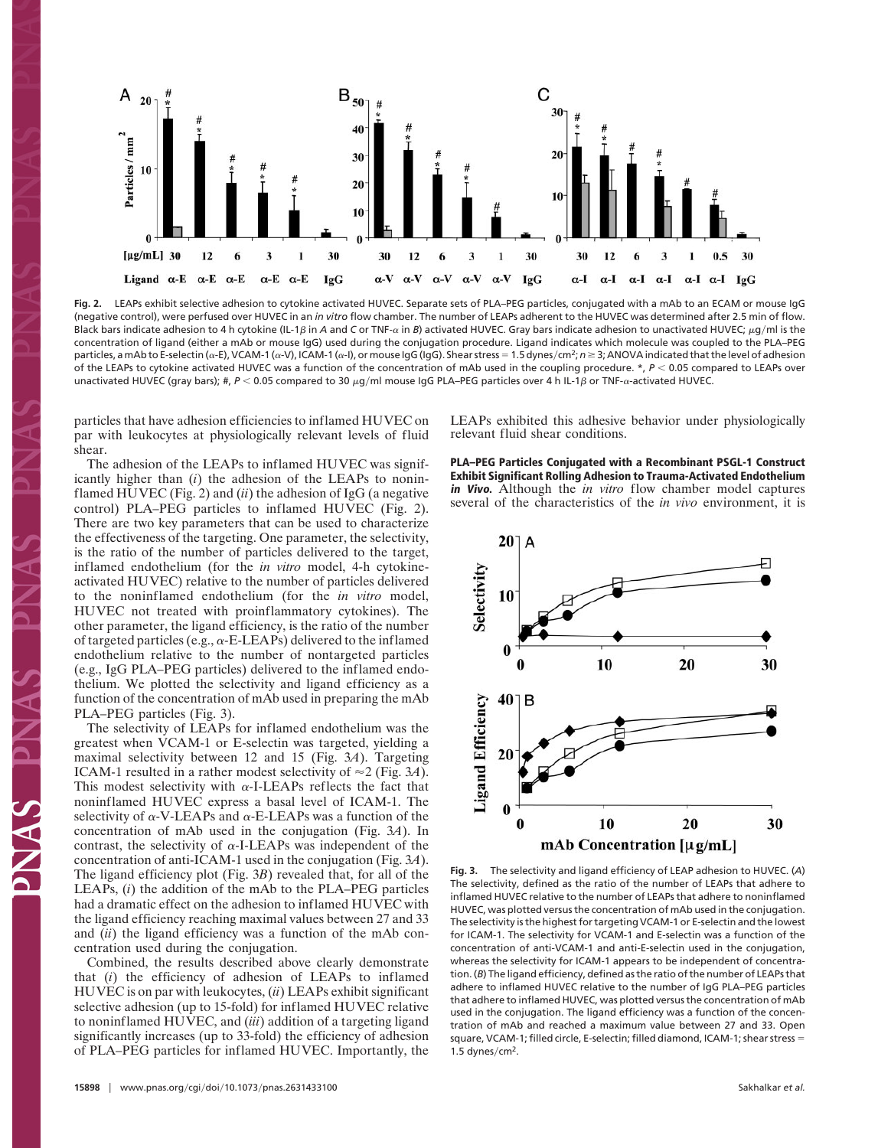

**Fig. 2.** LEAPs exhibit selective adhesion to cytokine activated HUVEC. Separate sets of PLA–PEG particles, conjugated with a mAb to an ECAM or mouse IgG (negative control), were perfused over HUVEC in an *in vitro* flow chamber. The number of LEAPs adherent to the HUVEC was determined after 2.5 min of flow. Black bars indicate adhesion to 4 h cytokine (IL-1β in *A* and C or TNF- $\alpha$  in *B*) activated HUVEC. Gray bars indicate adhesion to unactivated HUVEC;  $\mu$ g/ml is the concentration of ligand (either a mAb or mouse IgG) used during the conjugation procedure. Ligand indicates which molecule was coupled to the PLA–PEG particles, a mAb to E-selectin (α-E), VCAM-1 (α-V), ICAM-1 (α-I), or mouse IgG (IgG). Shear stress = 1.5 dynes/cm<sup>2</sup>; *n* ≥ 3; ANOVA indicated that the level of adhesion of the LEAPs to cytokine activated HUVEC was a function of the concentration of mAb used in the coupling procedure. \*, *P* 0.05 compared to LEAPs over unactivated HUVEC (gray bars); #, P < 0.05 compared to 30 μg/ml mouse IgG PLA–PEG particles over 4 h IL-1β or TNF-α-activated HUVEC.

particles that have adhesion efficiencies to inflamed HUVEC on par with leukocytes at physiologically relevant levels of fluid shear.

The adhesion of the LEAPs to inflamed HUVEC was significantly higher than (*i*) the adhesion of the LEAPs to noninflamed HUVEC (Fig. 2) and (*ii*) the adhesion of IgG (a negative control) PLA–PEG particles to inflamed HUVEC (Fig. 2). There are two key parameters that can be used to characterize the effectiveness of the targeting. One parameter, the selectivity, is the ratio of the number of particles delivered to the target, inflamed endothelium (for the *in vitro* model, 4-h cytokineactivated HUVEC) relative to the number of particles delivered to the noninflamed endothelium (for the *in vitro* model, HUVEC not treated with proinflammatory cytokines). The other parameter, the ligand efficiency, is the ratio of the number of targeted particles (e.g.,  $\alpha$ -E-LEAPs) delivered to the inflamed endothelium relative to the number of nontargeted particles (e.g., IgG PLA–PEG particles) delivered to the inflamed endothelium. We plotted the selectivity and ligand efficiency as a function of the concentration of mAb used in preparing the mAb PLA–PEG particles (Fig. 3).

The selectivity of LEAPs for inflamed endothelium was the greatest when VCAM-1 or E-selectin was targeted, yielding a maximal selectivity between 12 and 15 (Fig. 3*A*). Targeting ICAM-1 resulted in a rather modest selectivity of  $\approx$  2 (Fig. 3*A*). This modest selectivity with  $\alpha$ -I-LEAPs reflects the fact that noninflamed HUVEC express a basal level of ICAM-1. The selectivity of  $\alpha$ -V-LEAPs and  $\alpha$ -E-LEAPs was a function of the concentration of mAb used in the conjugation (Fig. 3*A*). In contrast, the selectivity of  $\alpha$ -I-LEAPs was independent of the concentration of anti-ICAM-1 used in the conjugation (Fig. 3*A*). The ligand efficiency plot (Fig. 3*B*) revealed that, for all of the LEAPs, (*i*) the addition of the mAb to the PLA–PEG particles had a dramatic effect on the adhesion to inflamed HUVEC with the ligand efficiency reaching maximal values between 27 and 33 and (*ii*) the ligand efficiency was a function of the mAb concentration used during the conjugation.

Combined, the results described above clearly demonstrate that (*i*) the efficiency of adhesion of LEAPs to inflamed HUVEC is on par with leukocytes, (*ii*) LEAPs exhibit significant selective adhesion (up to 15-fold) for inflamed HUVEC relative to noninflamed HUVEC, and (*iii*) addition of a targeting ligand significantly increases (up to 33-fold) the efficiency of adhesion of PLA–PEG particles for inflamed HUVEC. Importantly, the LEAPs exhibited this adhesive behavior under physiologically relevant fluid shear conditions.

**PLA–PEG Particles Conjugated with a Recombinant PSGL-1 Construct Exhibit Significant Rolling Adhesion to Trauma-Activated Endothelium in Vivo.** Although the *in vitro* flow chamber model captures several of the characteristics of the *in vivo* environment, it is



**Fig. 3.** The selectivity and ligand efficiency of LEAP adhesion to HUVEC. (*A*) The selectivity, defined as the ratio of the number of LEAPs that adhere to inflamed HUVEC relative to the number of LEAPs that adhere to noninflamed HUVEC, was plotted versus the concentration of mAb used in the conjugation. The selectivity is the highest for targeting VCAM-1 or E-selectin and the lowest for ICAM-1. The selectivity for VCAM-1 and E-selectin was a function of the concentration of anti-VCAM-1 and anti-E-selectin used in the conjugation, whereas the selectivity for ICAM-1 appears to be independent of concentration. (*B*) The ligand efficiency, defined as the ratio of the number of LEAPs that adhere to inflamed HUVEC relative to the number of IgG PLA–PEG particles that adhere to inflamed HUVEC, was plotted versus the concentration of mAb used in the conjugation. The ligand efficiency was a function of the concentration of mAb and reached a maximum value between 27 and 33. Open square, VCAM-1; filled circle, E-selectin; filled diamond, ICAM-1; shear stress 1.5 dynes/ $cm<sup>2</sup>$ .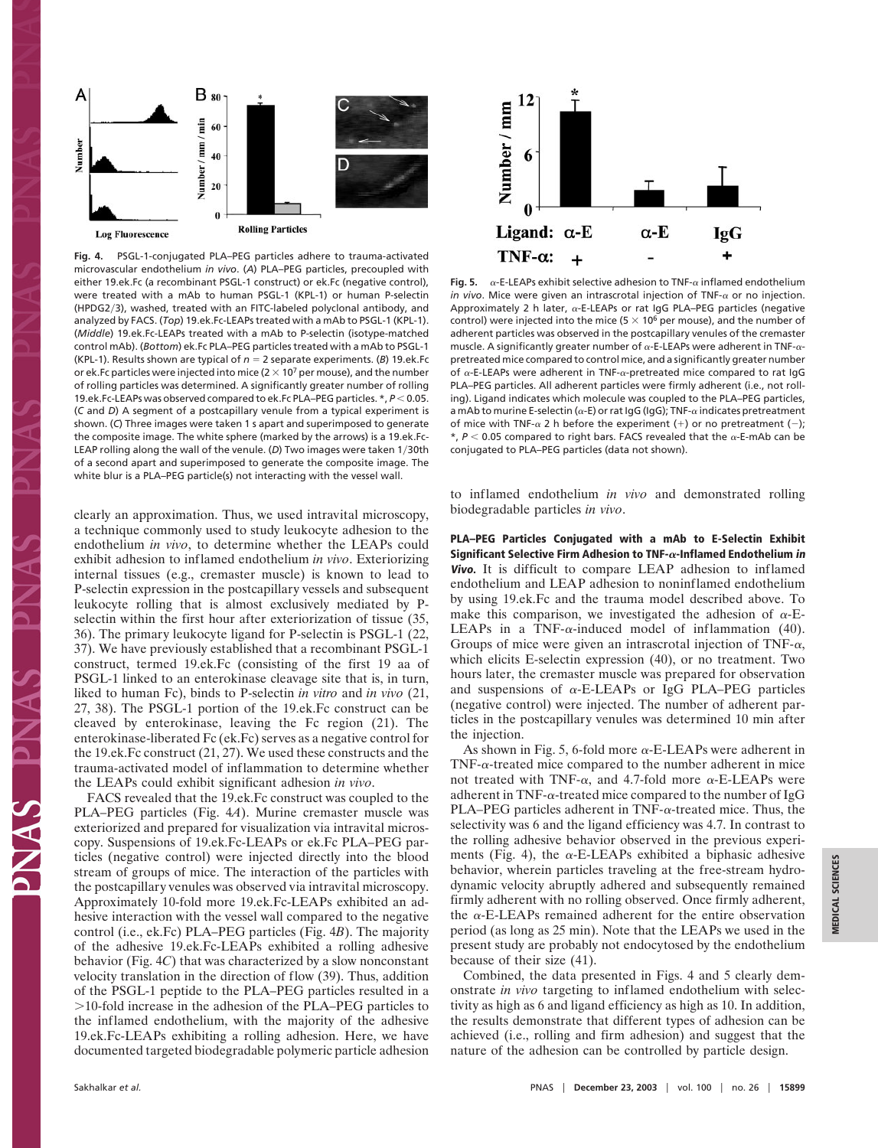

**Fig. 4.** PSGL-1-conjugated PLA–PEG particles adhere to trauma-activated microvascular endothelium *in vivo*. (*A*) PLA–PEG particles, precoupled with either 19.ek.Fc (a recombinant PSGL-1 construct) or ek.Fc (negative control), were treated with a mAb to human PSGL-1 (KPL-1) or human P-selectin (HPDG2/3), washed, treated with an FITC-labeled polyclonal antibody, and analyzed by FACS. (*Top*) 19.ek.Fc-LEAPs treated with a mAb to PSGL-1 (KPL-1). (*Middle*) 19.ek.Fc-LEAPs treated with a mAb to P-selectin (isotype-matched control mAb). (*Bottom*) ek.Fc PLA–PEG particles treated with a mAb to PSGL-1 (KPL-1). Results shown are typical of  $n = 2$  separate experiments. (*B*) 19.ek. Fc or ek. Fc particles were injected into mice ( $2 \times 10^7$  per mouse), and the number of rolling particles was determined. A significantly greater number of rolling 19.ek.Fc-LEAPs was observed compared to ek.Fc PLA–PEG particles. \*,  $P < 0.05$ . (*C* and *D*) A segment of a postcapillary venule from a typical experiment is shown. (*C*) Three images were taken 1 s apart and superimposed to generate the composite image. The white sphere (marked by the arrows) is a 19.ek.Fc-LEAP rolling along the wall of the venule. (D) Two images were taken 1/30th of a second apart and superimposed to generate the composite image. The white blur is a PLA–PEG particle(s) not interacting with the vessel wall.

clearly an approximation. Thus, we used intravital microscopy, a technique commonly used to study leukocyte adhesion to the endothelium *in vivo*, to determine whether the LEAPs could exhibit adhesion to inflamed endothelium *in vivo*. Exteriorizing internal tissues (e.g., cremaster muscle) is known to lead to P-selectin expression in the postcapillary vessels and subsequent leukocyte rolling that is almost exclusively mediated by Pselectin within the first hour after exteriorization of tissue (35, 36). The primary leukocyte ligand for P-selectin is PSGL-1 (22, 37). We have previously established that a recombinant PSGL-1 construct, termed 19.ek.Fc (consisting of the first 19 aa of PSGL-1 linked to an enterokinase cleavage site that is, in turn, liked to human Fc), binds to P-selectin *in vitro* and *in vivo* (21, 27, 38). The PSGL-1 portion of the 19.ek.Fc construct can be cleaved by enterokinase, leaving the Fc region (21). The enterokinase-liberated Fc (ek.Fc) serves as a negative control for the 19.ek.Fc construct (21, 27). We used these constructs and the trauma-activated model of inflammation to determine whether the LEAPs could exhibit significant adhesion *in vivo*.

FACS revealed that the 19.ek.Fc construct was coupled to the PLA–PEG particles (Fig. 4*A*). Murine cremaster muscle was exteriorized and prepared for visualization via intravital microscopy. Suspensions of 19.ek.Fc-LEAPs or ek.Fc PLA–PEG particles (negative control) were injected directly into the blood stream of groups of mice. The interaction of the particles with the postcapillary venules was observed via intravital microscopy. Approximately 10-fold more 19.ek.Fc-LEAPs exhibited an adhesive interaction with the vessel wall compared to the negative control (i.e., ek.Fc) PLA–PEG particles (Fig. 4*B*). The majority of the adhesive 19.ek.Fc-LEAPs exhibited a rolling adhesive behavior (Fig. 4*C*) that was characterized by a slow nonconstant velocity translation in the direction of flow (39). Thus, addition of the PSGL-1 peptide to the PLA–PEG particles resulted in a 10-fold increase in the adhesion of the PLA–PEG particles to the inflamed endothelium, with the majority of the adhesive 19.ek.Fc-LEAPs exhibiting a rolling adhesion. Here, we have documented targeted biodegradable polymeric particle adhesion



**Fig. 5.**  $\alpha$ -E-LEAPs exhibit selective adhesion to TNF- $\alpha$  inflamed endothelium *in vivo*. Mice were given an intrascrotal injection of TNF- $\alpha$  or no injection. Approximately 2 h later,  $\alpha$ -E-LEAPs or rat IgG PLA–PEG particles (negative control) were injected into the mice (5  $\times$  10<sup>6</sup> per mouse), and the number of adherent particles was observed in the postcapillary venules of the cremaster muscle. A significantly greater number of  $\alpha$ -E-LEAPs were adherent in TNF- $\alpha$ pretreated mice compared to control mice, and a significantly greater number of  $\alpha$ -E-LEAPs were adherent in TNF- $\alpha$ -pretreated mice compared to rat IgG PLA–PEG particles. All adherent particles were firmly adherent (i.e., not rolling). Ligand indicates which molecule was coupled to the PLA–PEG particles, a mAb to murine E-selectin ( $\alpha$ -E) or rat IgG (IgG); TNF- $\alpha$  indicates pretreatment of mice with TNF- $\alpha$  2 h before the experiment (+) or no pretreatment (-);  $*$ ,  $P < 0.05$  compared to right bars. FACS revealed that the  $\alpha$ -E-mAb can be conjugated to PLA–PEG particles (data not shown).

to inflamed endothelium *in vivo* and demonstrated rolling biodegradable particles *in vivo*.

**PLA–PEG Particles Conjugated with a mAb to E-Selectin Exhibit Significant Selective Firm Adhesion to TNF-** $\alpha$ **-Inflamed Endothelium in Vivo.** It is difficult to compare LEAP adhesion to inflamed endothelium and LEAP adhesion to noninflamed endothelium by using 19.ek.Fc and the trauma model described above. To make this comparison, we investigated the adhesion of  $\alpha$ -E-LEAPs in a TNF- $\alpha$ -induced model of inflammation (40). Groups of mice were given an intrascrotal injection of TNF- $\alpha$ , which elicits E-selectin expression (40), or no treatment. Two hours later, the cremaster muscle was prepared for observation and suspensions of  $\alpha$ -E-LEAPs or IgG PLA–PEG particles (negative control) were injected. The number of adherent particles in the postcapillary venules was determined 10 min after the injection.

As shown in Fig. 5, 6-fold more  $\alpha$ -E-LEAPs were adherent in TNF- $\alpha$ -treated mice compared to the number adherent in mice not treated with TNF- $\alpha$ , and 4.7-fold more  $\alpha$ -E-LEAPs were adherent in TNF- $\alpha$ -treated mice compared to the number of IgG PLA–PEG particles adherent in TNF- $\alpha$ -treated mice. Thus, the selectivity was 6 and the ligand efficiency was 4.7. In contrast to the rolling adhesive behavior observed in the previous experiments (Fig. 4), the  $\alpha$ -E-LEAPs exhibited a biphasic adhesive behavior, wherein particles traveling at the free-stream hydrodynamic velocity abruptly adhered and subsequently remained firmly adherent with no rolling observed. Once firmly adherent, the  $\alpha$ -E-LEAPs remained adherent for the entire observation period (as long as 25 min). Note that the LEAPs we used in the present study are probably not endocytosed by the endothelium because of their size (41).

Combined, the data presented in Figs. 4 and 5 clearly demonstrate *in vivo* targeting to inflamed endothelium with selectivity as high as 6 and ligand efficiency as high as 10. In addition, the results demonstrate that different types of adhesion can be achieved (i.e., rolling and firm adhesion) and suggest that the nature of the adhesion can be controlled by particle design.